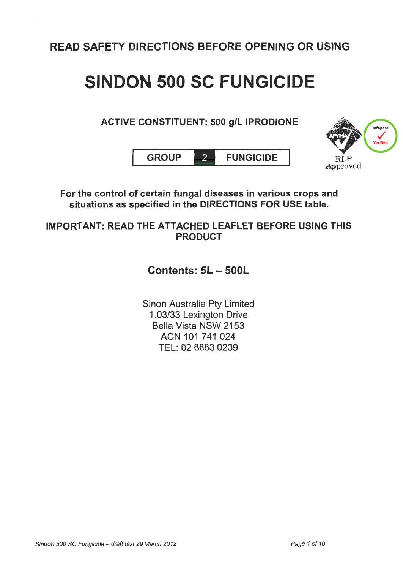READ SAFETY DIRECTIONS BEFORE OPENING OR USING

## SINDON 500 SC FUNGICIDE

## ACTIVE CONSTITUENT: 500 g/L IPRODIONE





For the control of certain fungal diseases in various crops and situations as specified in the DIRECTIONS FOR USE table.

IMPORTANT: READ THE ATTACHED LEAFLET BEFORE USING THIS PRODUCT

Contents: 5L- 500L

Sinon Australia Pty Limited 1.03/33 Lexington Drive Bella Vista NSW 2153 ACN 101 741 024 TEL: 02 8883 0239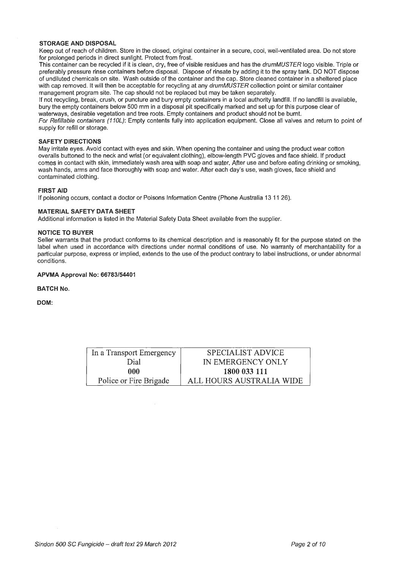#### **STORAGE AND DISPOSAL**

Keep out of reach of children. Store in the closed, original container in a secure, cool, well-ventilated area. Do not store for prolonged periods in direct sunlight. Protect from frost.

This container can be recycled if it is clean, dry, free of visible residues and has the drumMUSTER logo visible. Triple or preferably pressure rinse containers before disposal. Dispose of rinsate by adding it to the spray tank. DO NOT dispose of undiluted chemicals on site. Wash outside of the container and the cap. Store cleaned container in a sheltered place with cap removed. It will then be acceptable for recycling at any drumMUSTER collection point or similar container management program site. The cap should not be replaced but may be taken separately.

If not recycling, break, crush, or puncture and bury empty containers in a local authority landfill. If no landfill is available, bury the empty containers below 500 mm in a disposal pit specifically marked and set up for this purpose clear of waterways, desirable vegetation and tree roots. Empty containers and product should not be burnt.

For Refillable containers (110L): Empty contents fully into application equipment. Close all valves and return to point of supply for refill or storage.

#### **SAFETY DIRECTIONS**

May irritate eyes. Avoid contact with eyes and skin. When opening the container and using the product wear cotton overalls buttoned to the neck and wrist (or equivalent clothing), elbow-length PVC gloves and face shield. If product comes in contact with skin, immediately wash area with soap and water. After use and before eating drinking or smoking, wash hands, arms and face thoroughly with soap and water. After each day's use, wash gloves, face shield and contaminated clothing.

#### **FIRST AID**

If poisoning occurs, contact a doctor or Poisons Information Centre (Phone Australia 13 11 26).

#### **MATERIAL SAFETY DATA SHEET**

Additional information is listed in the Material Safety Data Sheet available from the supplier.

#### **NOTICE TO BUYER**

Seller warrants that the product conforms to its chemical description and is reasonably fit for the purpose stated on the label when used in accordance with directions under normal conditions of use. No warranty of merchantability for a particular purpose, express or implied, extends to the use of the product contrary to label instructions, or under abnormal conditions.

#### **APVMA Approval No: 66783/54401**

#### **BATCH No.**

**DOM:** 

| In a Transport Emergency | SPECIALIST ADVICE        |
|--------------------------|--------------------------|
| Dial                     | IN EMERGENCY ONLY        |
| 000                      | 1800 033 111             |
| Police or Fire Brigade   | ALL HOURS AUSTRALIA WIDE |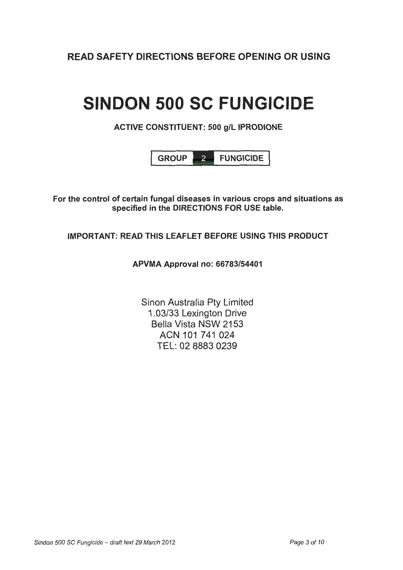READ SAFETY DIRECTIONS BEFORE OPENING OR USING

# **SINDON 500 SC FUNGICIDE**

## ACTIVE CONSTITUENT: 500 g/L IPRODIONE



For the control of certain fungal diseases in various crops and situations as specified in the DIRECTIONS FOR USE table.

## IMPORTANT: READ THIS LEAFLET BEFORE USING THIS PRODUCT

## APVMA Approval no: 66783/54401

Sinon Australia Pty Limited 1.03/33 Lexington Drive Bella Vista NSW 2153 ACN 101 741 024 TEL: 02 8883 0239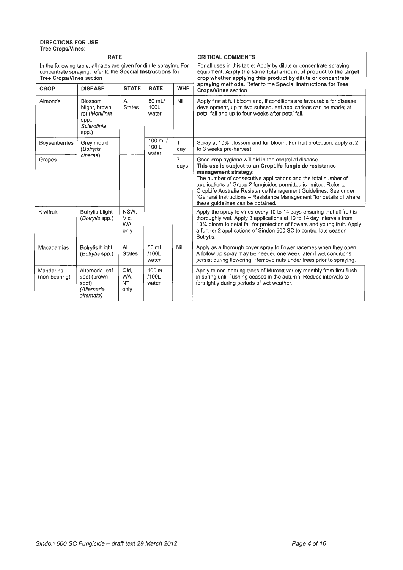#### **DIRECTIONS FOR USE Tree Crops/Vines:**

| <b>RATE</b>                                                                                                                                                            |                                                                                    |                                   |                                    |                     | <b>CRITICAL COMMENTS</b>                                                                                                                                                                                                                                                                                                                                                                                                                                      |
|------------------------------------------------------------------------------------------------------------------------------------------------------------------------|------------------------------------------------------------------------------------|-----------------------------------|------------------------------------|---------------------|---------------------------------------------------------------------------------------------------------------------------------------------------------------------------------------------------------------------------------------------------------------------------------------------------------------------------------------------------------------------------------------------------------------------------------------------------------------|
| In the following table, all rates are given for dilute spraying. For<br>concentrate spraying, refer to the Special Instructions for<br><b>Tree Crops/Vines section</b> |                                                                                    |                                   |                                    |                     | For all uses in this table. Apply by dilute or concentrate spraying<br>equipment. Apply the same total amount of product to the target<br>crop whether applying this product by dilute or concentrate                                                                                                                                                                                                                                                         |
| <b>CROP</b>                                                                                                                                                            | <b>DISEASE</b>                                                                     | <b>STATE</b>                      | <b>RATE</b>                        | <b>WHP</b>          | spraying methods. Refer to the Special Instructions for Tree<br><b>Crops/Vines section</b>                                                                                                                                                                                                                                                                                                                                                                    |
| Almonds                                                                                                                                                                | <b>Blossom</b><br>blight, brown<br>rot (Monilinia<br>spp.,<br>Sclerotinia<br>spp.) | All<br><b>States</b>              | $50$ mL/<br>100L<br>water          | Nil                 | Apply first at full bloom and, if conditions are favourable for disease<br>development, up to two subsequent applications can be made; at<br>petal fall and up to four weeks after petal fall.                                                                                                                                                                                                                                                                |
| Boysenberries                                                                                                                                                          | Grey mould<br>(Botrytis                                                            |                                   | $100 \text{ mL}$<br>100 L<br>water | $\mathbf{1}$<br>day | Spray at 10% blossom and full bloom. For fruit protection, apply at 2<br>to 3 weeks pre-harvest.                                                                                                                                                                                                                                                                                                                                                              |
| Grapes                                                                                                                                                                 | cinerea)                                                                           |                                   |                                    | 7<br>days           | Good crop hygiene will aid in the control of disease.<br>This use is subject to an CropLife fungicide resistance<br>management strategy:<br>The number of consecutive applications and the total number of<br>applications of Group 2 fungicides permitted is limited. Refer to<br>CropLife Australia Resistance Management Guidelines. See under<br>"General Instructions - Resistance Management "for details of where<br>these guidelines can be obtained. |
| Kiwifruit                                                                                                                                                              | Botrytis blight<br>(Botrytis spp.)                                                 | NSW,<br>Vic,<br><b>WA</b><br>only |                                    |                     | Apply the spray to vines every 10 to 14 days ensuring that all fruit is<br>thoroughly wet. Apply 3 applications at 10 to 14 day intervals from<br>10% bloom to petal fall for protection of flowers and young fruit. Apply<br>a further 2 applications of Sindon 500 SC to control late season<br>Botrytis.                                                                                                                                                   |
| Macadamias                                                                                                                                                             | Botrytis blight<br>(Botrytis spp.)                                                 | All<br><b>States</b>              | 50 mL<br>/100L<br>water            | Nil                 | Apply as a thorough cover spray to flower racemes when they open.<br>A follow up spray may be needed one week later if wet conditions<br>persist during flowering. Remove nuts under trees prior to spraying.                                                                                                                                                                                                                                                 |
| Mandarins<br>(non-bearing)                                                                                                                                             | Alternaria leaf<br>spot (brown<br>spot)<br>(Alternaria<br>alternata)               | Qld,<br>WA.<br><b>NT</b><br>only  | 100 mL<br>/100L<br>water           |                     | Apply to non-bearing trees of Murcott variety monthly from first flush<br>in spring until flushing ceases in the autumn. Reduce intervals to<br>fortnightly during periods of wet weather.                                                                                                                                                                                                                                                                    |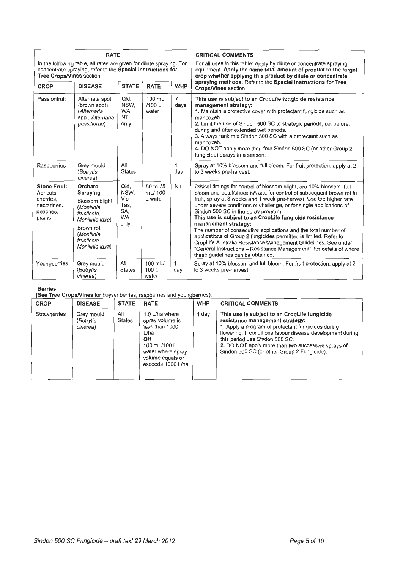|                                                                                                                                                                        | <b>RATE</b>                                                                                                                                               |                                                          |                               |                        | <b>CRITICAL COMMENTS</b>                                                                                                                                                                                                                                                                                                                                                                                                                                                                                                                                                                                                                                                                                                                     |
|------------------------------------------------------------------------------------------------------------------------------------------------------------------------|-----------------------------------------------------------------------------------------------------------------------------------------------------------|----------------------------------------------------------|-------------------------------|------------------------|----------------------------------------------------------------------------------------------------------------------------------------------------------------------------------------------------------------------------------------------------------------------------------------------------------------------------------------------------------------------------------------------------------------------------------------------------------------------------------------------------------------------------------------------------------------------------------------------------------------------------------------------------------------------------------------------------------------------------------------------|
| In the following table, all rates are given for dilute spraying. For<br>concentrate spraying, refer to the Special Instructions for<br><b>Tree Crops/Vines section</b> |                                                                                                                                                           |                                                          |                               |                        | For all uses in this table: Apply by dilute or concentrate spraying<br>equipment. Apply the same total amount of product to the target<br>crop whether applying this product by dilute or concentrate                                                                                                                                                                                                                                                                                                                                                                                                                                                                                                                                        |
| <b>CROP</b>                                                                                                                                                            | <b>DISEASE</b>                                                                                                                                            | <b>STATE</b>                                             | <b>RATE</b>                   | <b>WHP</b>             | spraying methods. Refer to the Special Instructions for Tree<br><b>Crops/Vines</b> section                                                                                                                                                                                                                                                                                                                                                                                                                                                                                                                                                                                                                                                   |
| Passionfruit                                                                                                                                                           | Alternata spot<br>(brown spot)<br>(Alternaria<br>spp., Alternaria<br>passiflorae)                                                                         | Qld,<br>NSW.<br>WA.<br><b>NT</b><br>only                 | 100 mL<br>/100L<br>water      | $\overline{7}$<br>days | This use is subject to an CropLife fungicide resistance<br>management strategy:<br>1. Maintain a protective cover with protectant fungicide such as<br>mancozeb.<br>2. Limit the use of Sindon 500 SC to strategic periods, i.e. before,<br>during and after extended wet periods.<br>3. Always tank mix Sindon 500 SC with a protectant such as<br>mancozeb.<br>4. DO NOT apply more than four Sindon 500 SC (or other Group 2<br>fungicide) sprays in a season.                                                                                                                                                                                                                                                                            |
| Raspberries                                                                                                                                                            | Grey mould<br>(Botrytis<br>cinerea)                                                                                                                       | All<br><b>States</b>                                     |                               | 1<br>dav               | Spray at 10% blossom and full bloom. For fruit protection, apply at 2<br>to 3 weeks pre-harvest.                                                                                                                                                                                                                                                                                                                                                                                                                                                                                                                                                                                                                                             |
| <b>Stone Fruit:</b><br>Apricots,<br>cherries.<br>nectarines,<br>peaches,<br>plums                                                                                      | Orchard<br>Spraying<br><b>Blossom blight</b><br>(Monilinia<br>fructicola.<br>Monilinia laxa)<br>Brown rot<br>(Monilinia<br>fructicola.<br>Monilinia laxa) | Qld.<br>NSW.<br>Vic.<br>Tas,<br>SA,<br><b>WA</b><br>only | 50 to 75<br>mL/100<br>L water | Nil                    | Critical timings for control of blossom blight, are 10% blossom, full<br>bloom and petal/shuck fall and for control of subsequent brown rot in<br>fruit, spray at 3 weeks and 1 week pre-harvest. Use the higher rate<br>under severe conditions of challenge, or for single applications of<br>Sindon 500 SC in the spray program.<br>This use is subject to an CropLife fungicide resistance<br>management strategy:<br>The number of consecutive applications and the total number of<br>applications of Group 2 fungicides permitted is limited. Refer to<br>CropLife Australia Resistance Management Guidelines. See under<br>"General Instructions - Resistance Management " for details of where<br>these quidelines can be obtained. |
| Youngberries                                                                                                                                                           | Grey mould<br>(Botrytis<br>cinerea)                                                                                                                       | All<br><b>States</b>                                     | 100 mL/<br>100L<br>water      | 1<br>day               | Spray at 10% blossom and full bloom. For fruit protection, apply at 2<br>to 3 weeks pre-harvest.                                                                                                                                                                                                                                                                                                                                                                                                                                                                                                                                                                                                                                             |

#### **Berries:**

**(See Tree CropsNines** for boysenberries, raspberries and youngberries).

| CROP                | <b>DISEASE</b>                      | <b>STATE</b>  | <b>RATE</b>                                                                                                                                            | <b>WHP</b> | <b>CRITICAL COMMENTS</b>                                                                                                                                                                                                                                                                                                                   |
|---------------------|-------------------------------------|---------------|--------------------------------------------------------------------------------------------------------------------------------------------------------|------------|--------------------------------------------------------------------------------------------------------------------------------------------------------------------------------------------------------------------------------------------------------------------------------------------------------------------------------------------|
| <b>Strawberries</b> | Grey mould<br>(Botrytis<br>cinerea) | All<br>States | 1.0 L/ha where<br>spray volume is<br>less than 1000<br>L/ha<br><b>OR</b><br>100 mL/100 L<br>water where spray<br>volume equals or<br>exceeds 1000 L/ha | 1 day      | This use is subject to an CropLife fungicide<br>resistance management strategy:<br>1. Apply a program of protectant fungicides during<br>flowering. If conditions favour disease development during<br>this period use Sindon 500 SC.<br>2. DO NOT apply more than two successive sprays of<br>Sindon 500 SC (or other Group 2 Fungicide). |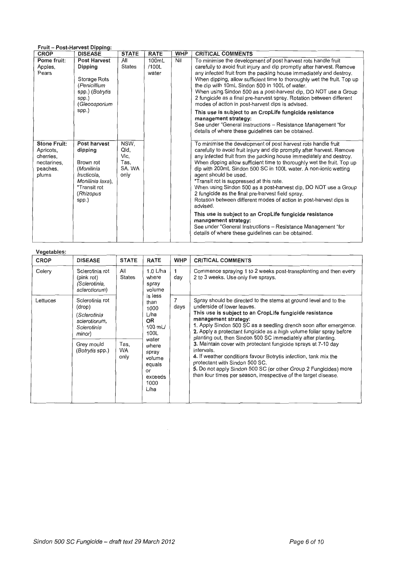### **Fruit- Post-Harvest Dipping:**

| <b>CROP</b>                                                                       | <b>DISEASE</b>                                                                                                              | <b>STATE</b>                                   | <b>RATE</b>             | <b>WHP</b> | <b>CRITICAL COMMENTS</b>                                                                                                                                                                                                                                                                                                                                                                                                                                                                                                                                                                                                                                                                                                                                                                                                                           |
|-----------------------------------------------------------------------------------|-----------------------------------------------------------------------------------------------------------------------------|------------------------------------------------|-------------------------|------------|----------------------------------------------------------------------------------------------------------------------------------------------------------------------------------------------------------------------------------------------------------------------------------------------------------------------------------------------------------------------------------------------------------------------------------------------------------------------------------------------------------------------------------------------------------------------------------------------------------------------------------------------------------------------------------------------------------------------------------------------------------------------------------------------------------------------------------------------------|
| Pome fruit:<br>Apples,<br>Pears                                                   | <b>Post Harvest</b><br>Dipping<br>Storage Rots<br>(Penicillium<br>spp.) (Botrytis<br>spp.)<br>(Gleoosporium<br>spp.)        | All<br><b>States</b>                           | 100mL<br>/100L<br>water | Nil        | To minimise the development of post harvest rots handle fruit<br>carefully to avoid fruit injury and dip promptly after harvest. Remove<br>any infected fruit from the packing house immediately and destroy.<br>When dipping, allow sufficient time to thoroughly wet the fruit. Top up<br>the dip with 10mL Sindon 500 in 100L of water.<br>When using Sindon 500 as a post-harvest dip, DO NOT use a Group<br>2 fungicide as a final pre-harvest spray. Rotation between different<br>modes of action in post-harvest dips is advised.<br>This use is subject to an CropLife fungicide resistance<br>management strategy:<br>See under "General Instructions - Resistance Management "for<br>details of where these quidelines can be obtained.                                                                                                 |
| <b>Stone Fruit:</b><br>Apricots,<br>cherries,<br>nectarines,<br>peaches,<br>plums | Post harvest<br>dipping<br>Brown rot<br>(Monilinia<br>fructicola,<br>Monilinia laxa).<br>*Transit rot<br>(Rhizopus<br>spp.) | NSW,<br>Qld,<br>Vic,<br>Tas,<br>SA. WA<br>only |                         |            | To minimise the development of post harvest rots handle fruit<br>carefully to avoid fruit injury and dip promptly after harvest. Remove<br>any infected fruit from the packing house immediately and destroy.<br>When dipping allow sufficient time to thoroughly wet the fruit. Top up<br>dip with 200mL Sindon 500 SC in 100L water. A non-ionic wetting<br>agent should be used.<br>*Transit rot is suppressed at this rate.<br>When using Sindon 500 as a post-harvest dip, DO NOT use a Group<br>2 fungicide as the final pre-harvest field spray.<br>Rotation between different modes of action in post-harvest dips is<br>advised.<br>This use is subject to an CropLife fungicide resistance<br>management strategy:<br>See under "General Instructions - Resistance Management "for<br>details of where these quidelines can be obtained. |

| Vegetables: |                                                                                                                      |                           |                                                                                                                                                   |                        |                                                                                                                                                                                                                                                                                                                                                                                                                                                                                                                                                                                                                                                                                                                             |
|-------------|----------------------------------------------------------------------------------------------------------------------|---------------------------|---------------------------------------------------------------------------------------------------------------------------------------------------|------------------------|-----------------------------------------------------------------------------------------------------------------------------------------------------------------------------------------------------------------------------------------------------------------------------------------------------------------------------------------------------------------------------------------------------------------------------------------------------------------------------------------------------------------------------------------------------------------------------------------------------------------------------------------------------------------------------------------------------------------------------|
| <b>CROP</b> | <b>DISEASE</b>                                                                                                       | <b>STATE</b>              | <b>RATE</b>                                                                                                                                       | <b>WHP</b>             | <b>CRITICAL COMMENTS</b>                                                                                                                                                                                                                                                                                                                                                                                                                                                                                                                                                                                                                                                                                                    |
| Celery      | Sclerotinia rot<br>(pink rot)<br>(Sclerotinia,<br>sclerotiorum)                                                      | All<br><b>States</b>      | $1.0$ L/ha<br>where<br>spray<br>volume                                                                                                            | day                    | Commence spraying 1 to 2 weeks post-transplanting and then every<br>2 to 3 weeks. Use only five sprays.                                                                                                                                                                                                                                                                                                                                                                                                                                                                                                                                                                                                                     |
| Lettuces    | Sclerotinia rot<br>(drop)<br>(Sclerotinia<br>scierotiorum,<br>Scierotinia<br>minor)<br>Grey mould<br>(Botrytis spp.) | Tas.<br><b>WA</b><br>only | is less<br>than<br>1000<br>L/ha<br><b>OR</b><br>$100$ mL/<br>100L<br>water<br>where<br>spray<br>volume<br>equals<br>or<br>exceeds<br>1000<br>L/ha | $\overline{7}$<br>days | Spray should be directed to the stems at ground level and to the<br>underside of lower leaves.<br>This use is subject to an CropLife fungicide resistance<br>management strategy:<br>1. Apply Sindon 500 SC as a seedling drench soon after emergence.<br>2. Apply a protectant fungicide as a high volume foliar spray before<br>planting out, then Sindon 500 SC immediately after planting.<br>3. Maintain cover with protectant fungicide sprays at 7-10 day<br>intervals.<br>4. If weather conditions favour Botrytis infection, tank mix the<br>protectant with Sindon 500 SC.<br>5. Do not apply Sindon 500 SC (or other Group 2 Fungicides) more<br>than four times per season, irrespective of the target disease. |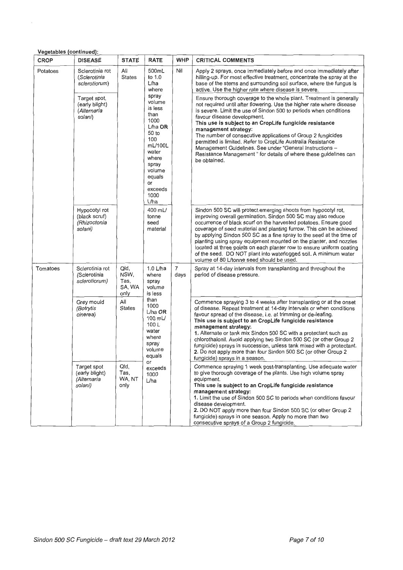| CROP     | <b>DISEASE</b>                                                                                               | <b>STATE</b>                           | <b>RATE</b>                                                                                                                                                                                                                                                                 | <b>WHP</b>             | <b>CRITICAL COMMENTS</b>                                                                                                                                                                                                                                                                                                                                                                                                                                                                                                                                                                                             |
|----------|--------------------------------------------------------------------------------------------------------------|----------------------------------------|-----------------------------------------------------------------------------------------------------------------------------------------------------------------------------------------------------------------------------------------------------------------------------|------------------------|----------------------------------------------------------------------------------------------------------------------------------------------------------------------------------------------------------------------------------------------------------------------------------------------------------------------------------------------------------------------------------------------------------------------------------------------------------------------------------------------------------------------------------------------------------------------------------------------------------------------|
| Potatoes | All<br>500mL<br>Sclerotinia rot<br><b>States</b><br>to 1.0<br>(Sclerotinia<br>L/ha<br>sclerotiorum)<br>where | Nil                                    | Apply 2 sprays, once immediately before and once immediately after<br>hilling-up. For most effective treatment, concentrate the spray at the<br>base of the stems and surrounding soil surface, where the fungus is<br>active. Use the higher rate where disease is severe. |                        |                                                                                                                                                                                                                                                                                                                                                                                                                                                                                                                                                                                                                      |
|          | Target spot,<br>(early blight)<br>(Alternaria<br>solani)                                                     |                                        | spray<br>volume<br>is less<br>than<br>1000<br>$L/ha$ OR<br>50 to<br>100<br>mL/100L<br>water<br>where<br>spray<br>volume<br>equals<br>or<br>exceeds<br>1000<br>L/ha                                                                                                          |                        | Ensure thorough coverage to the whole plant. Treatment is generally<br>not required until after flowering. Use the higher rate where disease<br>is severe. Limit the use of Sindon 500 to periods when conditions<br>favour disease development.<br>This use is subject to an CropLife fungicide resistance<br>management strategy:<br>The number of consecutive applications of Group 2 fungicides<br>permitted is limited. Refer to CropLife Australia Resistance<br>Management Guidelines. See under "General Instructions -<br>Resistance Management " for details of where these guidelines can<br>be obtained. |
|          | Hypocotyl rot<br>(black scruf)<br>(Rhizoctonia<br>solani)                                                    |                                        | 400 mL/<br>tonne<br>seed<br>material                                                                                                                                                                                                                                        |                        | Sindon 500 SC will protect emerging shoots from hypocotyl rot,<br>improving overall germination. Sindon 500 SC may also reduce<br>occurrence of black scurf on the harvested potatoes. Ensure good<br>coverage of seed material and planting furrow. This can be achieved<br>by applying Sindon 500 SC as a fine spray to the seed at the time of<br>planting using spray equipment mounted on the planter, and nozzles<br>located at three points on each planter row to ensure uniform coating<br>of the seed. DO NOT plant into waterlogged soil. A minimum water<br>volume of 80 L/tonne seed should be used.    |
| Tomatoes | Sclerotinia rot<br>(Sclerotinia<br>sclerotiorum)                                                             | Qld,<br>NSW,<br>Tas,<br>SA, WA<br>only | 1.0 L/ha<br>where<br>spray<br>volume<br>is less                                                                                                                                                                                                                             | $\overline{7}$<br>days | Spray at 14-day intervals from transplanting and throughout the<br>period of disease pressure.                                                                                                                                                                                                                                                                                                                                                                                                                                                                                                                       |
|          | Grey mould<br>(Botrytis<br>cinerea)                                                                          | All<br><b>States</b>                   | than<br>1000<br>$L/ha$ OR<br>100 mL/<br>100L<br>water<br>where<br>spray<br>volume<br>equals                                                                                                                                                                                 |                        | Commence spraying 3 to 4 weeks after transplanting or at the onset<br>of disease. Repeat treatment at 14-day intervals or when conditions<br>favour spread of the disease, i.e. at trimming or de-leafing.<br>This use is subject to an CropLife fungicide resistance<br>management strategy:<br>1. Alternate or tank mix Sindon 500 SC with a protectant such as<br>chlorothalonil. Avoid applying two Sindon 500 SC (or other Group 2<br>fungicide) sprays in succession, unless tank mixed with a protectant.<br>2. Do not apply more than four Sindon 500 SC (or other Group 2<br>fungicide) sprays in a season. |
|          | Target spot<br>(early blight)<br>(Alternaria<br>solani)                                                      | Qld,<br>Tas,<br>WA, NT<br>only         | or<br>exceeds<br>1000<br>L/ha                                                                                                                                                                                                                                               |                        | Commence spraying 1 week post-transplanting. Use adequate water<br>to give thorough coverage of the plants. Use high volume spray<br>equipment.<br>This use is subject to an CropLife fungicide resistance<br>management strategy:<br>1. Limit the use of Sindon 500 SC to periods when conditions favour<br>disease development.<br>2. DO NOT apply more than four Sindon 500 SC (or other Group 2<br>fungicide) sprays in one season. Apply no more than two<br>consecutive sprays of a Group 2 fungicide.                                                                                                         |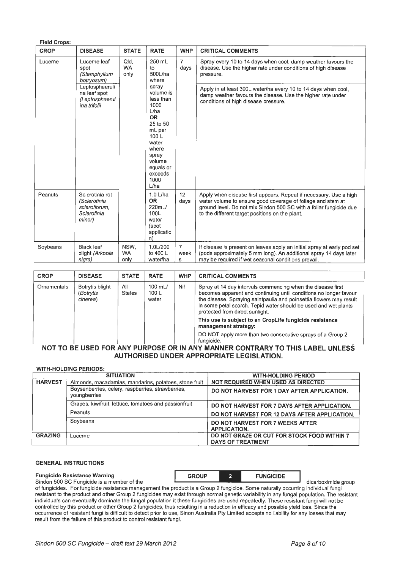| <b>Field Crops:</b> |                                                                           |                           |                                                                                                                                                                         |                             |                                                                                                                                                                                                                                                           |  |  |
|---------------------|---------------------------------------------------------------------------|---------------------------|-------------------------------------------------------------------------------------------------------------------------------------------------------------------------|-----------------------------|-----------------------------------------------------------------------------------------------------------------------------------------------------------------------------------------------------------------------------------------------------------|--|--|
| <b>CROP</b>         | <b>DISEASE</b>                                                            | <b>STATE</b>              | <b>RATE</b>                                                                                                                                                             | <b>WHP</b>                  | <b>CRITICAL COMMENTS</b>                                                                                                                                                                                                                                  |  |  |
| Lucerne             | Lucerne leaf<br>spot<br>(Stemphylium<br>botryosum)                        | Qld.<br><b>WA</b><br>only | 250 mL<br>to<br>500L/ha<br>where                                                                                                                                        | $\overline{7}$<br>days      | Spray every 10 to 14 days when cool, damp weather favours the<br>disease. Use the higher rate under conditions of high disease<br>pressure.                                                                                                               |  |  |
|                     | Leptosphaeruli<br>na leaf spot<br>(Leptosphaerul<br>ina trifolii          |                           | spray<br>volume is<br>less than<br>1000<br>L/ha<br><b>OR</b><br>25 to 50<br>mL per<br>100L<br>water<br>where<br>spray<br>volume<br>equals or<br>exceeds<br>1000<br>L/ha |                             | Apply in at least 300L water/ha every 10 to 14 days when cool,<br>damp weather favours the disease. Use the higher rate under<br>conditions of high disease pressure.                                                                                     |  |  |
| Peanuts             | Sclerotinia rot<br>(Sclerotinia<br>sclerotiorum,<br>Sclerotinia<br>minor) |                           | $1.0$ L/ha<br><b>OR</b><br>220mL/<br>100L<br>water<br>(spot<br>applicatio<br>n)                                                                                         | 12 <sup>°</sup><br>days     | Apply when disease first appears. Repeat if necessary. Use a high<br>water volume to ensure good coverage of foliage and stem at<br>ground level. Do not mix Sindon 500 SC with a foliar fungicide due<br>to the different target positions on the plant. |  |  |
| Soybeans            | <b>Black leaf</b><br>blight (Arkoola<br>nigra)                            | NSW.<br><b>WA</b><br>only | 1.0L/200<br>to 400 L<br>water/ha                                                                                                                                        | $\overline{7}$<br>week<br>s | If disease is present on leaves apply an initial spray at early pod set<br>(pods approximately 5 mm long). An additional spray 14 days later<br>may be required if wet seasonal conditions prevail.                                                       |  |  |

| <b>CROP</b> | <b>DISEASE</b>                           | <b>STATE</b>         | <b>RATE</b>                   | <b>WHP</b> | <b>CRITICAL COMMENTS</b>                                                                                                                                                                                                                                                                                      |
|-------------|------------------------------------------|----------------------|-------------------------------|------------|---------------------------------------------------------------------------------------------------------------------------------------------------------------------------------------------------------------------------------------------------------------------------------------------------------------|
| Ornamentals | Botrytis blight<br>(Botrytis<br>cinerea) | All<br><b>States</b> | 100 $mL/$<br>100 $L$<br>water | Nil        | Spray at 14 day intervals commencing when the disease first<br>becomes apparent and continuing until conditions no longer favour<br>the disease. Spraying saintpaulia and poinsettia flowers may result<br>in some petal scorch. Tepid water should be used and wet plants<br>protected from direct sunlight. |
|             |                                          |                      |                               |            | This use is subject to an CropLife fungicide resistance<br>management strategy:                                                                                                                                                                                                                               |
|             |                                          |                      |                               |            | DO NOT apply more than two consecutive sprays of a Group 2<br>fungicide.                                                                                                                                                                                                                                      |

#### **NOT TO BE USED FOR ANY PURPOSE OR IN ANY MANNER CONTRARY TO THIS LABEL UNLESS AUTHORISED UNDER APPROPRIATE LEGISLATION.**

|                | <b>WITH-HOLDING PERIODS:</b>                                      |                                                                         |
|----------------|-------------------------------------------------------------------|-------------------------------------------------------------------------|
|                | <b>SITUATION</b>                                                  | <b>WITH-HOLDING PERIOD</b>                                              |
| <b>HARVEST</b> | Almonds, macadamias, mandarins, potatoes, stone fruit             | <b>NOT REQUIRED WHEN USED AS DIRECTED</b>                               |
|                | Boysenberries, celery, raspberries, strawberries,<br>youngberries | DO NOT HARVEST FOR 1 DAY AFTER APPLICATION.                             |
|                | Grapes, kiwifruit, lettuce, tomatoes and passionfruit             | DO NOT HARVEST FOR 7 DAYS AFTER APPLICATION.                            |
|                | Peanuts                                                           | DO NOT HARVEST FOR 12 DAYS AFTER APPLICATION.                           |
|                | Soybeans                                                          | DO NOT HARVEST FOR 7 WEEKS AFTER<br><b>APPLICATION.</b>                 |
| <b>GRAZING</b> | Lucerne                                                           | DO NOT GRAZE OR CUT FOR STOCK FOOD WITHIN 7<br><b>DAYS OF TREATMENT</b> |

#### **GENERAL INSTRUCTIONS**

**Fungicide Resistance Warning The CROUP 2 FUNGICIDE** Sindon 500 SC Fungicide is a member of the dicarboximide group

of fungicides. For fungicide resistance management the product is a Group 2 fungicide. Some naturally occurring individual fungi resistant to the product and other Group 2 fungicides may exist through normal genetic variability in any fungal population. The resistant individuals can eventually dominate the fungal population it these fungicides are used repeatedly. These resistant fungi will not be controlled by this product or other Group 2 fungicides, thus resulting in a reduction in efficacy and possible yield loss. Since the occurrence of resistant fungi is difficult to detect prior to use, Sinon Australia Pty Limited accepts no liability for any losses that may result from the failure of this product to control resistant fungi.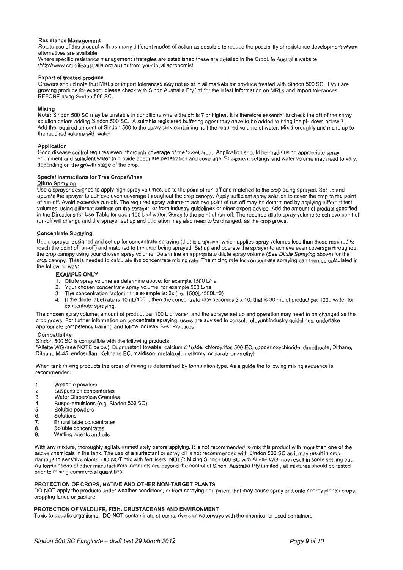#### Resistance Management

Rotate use of this product with as many different modes of action as possible to reduce the possibility of resistance development where alternatives are available.

Where specific resistance management strategies are established these are detailed in the CropLife Australia website (http://www.croplifeaustralia.org.au) or from your local agronomist.

#### Export of treated produce

Growers should note that MRLs or import tolerances may not exist in all markets for produce treated with Sindon 500 SC. If you are growing produce for export, please check with Sinon Australia Pty Ltd for the latest information on MRLs and import tolerances BEFORE using Sindon 500 SC.

#### Mixing

Note: Sindon 500 SC may be unstable in conditions where the pH is 7 or higher. It is therefore essential to check the pH of the spray solution before adding Sindon 500 SC. A suitable registered buffering agent may have to be added to bring the pH down below 7. Add the required amount of Sindon 500 to the spray tank containing half the required volume of water. Mix thoroughly and make up to the required volume with water.

#### Application

Good disease control requires even, thorough coverage of the target area. Application should be made using appropriate spray equipment and sufficient water to provide adequate penetration and coverage. Equipment settings and water volume may need to vary, depending on the growth stage of the crop.

#### Special Instructions for Tree CropsNines

#### Dilute Spraying

Use a sprayer designed to apply high spray volumes, up to the point of run-off and matched to the crop being sprayed. Set up and operate the sprayer to achieve even coverage throughout the crop canopy. Apply sufficient spray solution to cover the crop to the point of run-off. Avoid excessive run-off. The required spray volume to achieve point of run off may be determined by applying different test volumes, using different settings on the sprayer, or from industry guidelines or other expert advice. Add the amount of product specified in the Directions for Use Table for each 100 L of water. Spray to the point of run-off. The required dilute spray volume to achieve point of run-off will change and the sprayer set up and operation may also need to be changed, as the crop grows.

#### Concentrate Spraying

Use a sprayer designed and set up for concentrate spraying (that is a sprayer which applies spray volumes less than those required to reach the point of run-off) and matched to the crop being sprayed. Set up and operate the sprayer to achieve even coverage throughout the crop canopy using your chosen spray volume. Determine an appropriate dilute spray volume (See Dilute Spraying above) for the crop canopy. This is needed to calculate the concentrate mixing rate. The mixing rate for concentrate spraying can then be calculated in the following way:

#### EXAMPLE ONLY

- 1. Dilute spray volume as determine above: for example 1500 L/ha
- 2. Your chosen concentrate spray volume: for example 500 L/ha
- 3. The concentration factor in this example is: 3x (i.e. 1500L + 500L = 3)
- 4. If the dilute label rate is 10mL/100L, then the concentrate rate becomes 3 x 10, that is 30 mL of product per 100L water for concentrate spraying.

The chosen spray volume, amount of product per 100 L of water, and the sprayer set up and operation may need to be changed as the crop grows. For further information on concentrate spraying, users are advised to consult relevant industry guidelines, undertake appropriate competency training and follow industry Best Practices.

#### **Compatibility**

Sindon 500 SC is compatible with the following products:

\*Aiiette WG (see NOTE below), Bugmaster Flowable, calcium chloride, chlorpyrifos 500 EC, copper oxychloride, dimethoate, Dithane, Dithane M-45, endosulfan, Kelthane EC, maldison, metalaxyl, methomyl or parathion-methyl.

When tank mixing products the order of mixing is determined by formulation type. As a guide the following mixing sequence is recommended:

- 1. Wettable powders<br>2. Suspension conce
- 2. Suspension concentrates<br>3. Water Dispersible Granule
- 3. Water Dispersible Granules<br>4. Suspo-emulsions (e.g. Sind
- Suspo-emulsions (e.g. Sindon 500 SC)
- 5. Soluble powders
- 6. Solutions<br>7. Emulsifial
- 7. Emulsifiable concentrates<br>8. Soluble concentrates
- Soluble concentrates
- 9. Wetting agents and oils

With any mixture, thoroughly agitate immediately before applying. It is not recommended to mix this product with more than one of the above chemicals in the tank. The use of a surfactant or spray oil is not recommended with Sindon 500 SC as it may result in crop damage to sensitive plants. DO NOT mix with fertilisers. NOTE: Mixing Sindon 500 SC with Aliette WG may result in some settling out. As formulations of other manufacturers' products are beyond the control of Sinon Australia Pty Limited , all mixtures should be tested prior to mixing commercial quantities.

#### PROTECTION OF CROPS, NATIVE AND OTHER NON-TARGET PLANTS

DO NOT apply the products under weather conditions , or from spraying equipment that may cause spray drift onto nearby plants/ crops, cropping lands or pasture.

#### PROTECTION OF WILDLIFE, FISH, CRUSTACEANS AND ENVIRONMENT

Toxic to aquatic organisms DO NOT contaminate streams, rivers or watterways with the chemical or used containers.